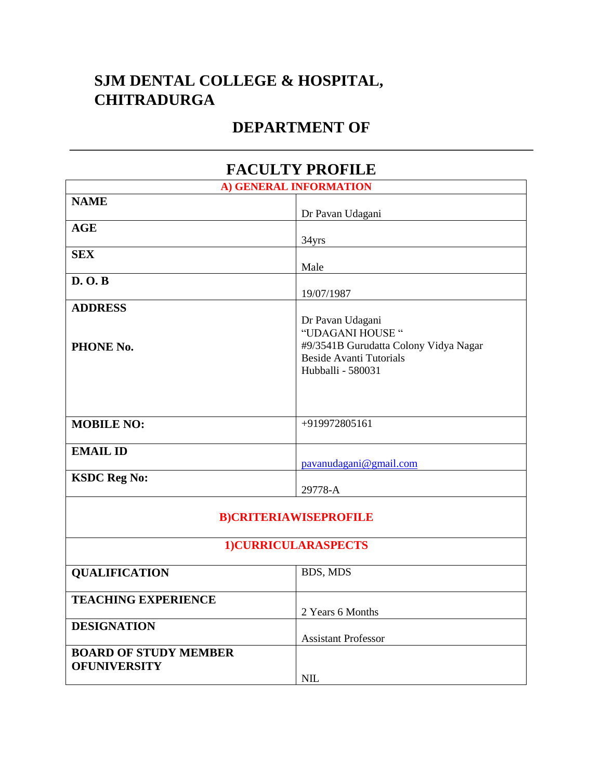## **SJM DENTAL COLLEGE & HOSPITAL, CHITRADURGA**

## **DEPARTMENT OF**

| <b>FACULTY PROFILE</b>                              |                                                                                                                                      |  |
|-----------------------------------------------------|--------------------------------------------------------------------------------------------------------------------------------------|--|
| A) GENERAL INFORMATION                              |                                                                                                                                      |  |
| <b>NAME</b>                                         | Dr Pavan Udagani                                                                                                                     |  |
| <b>AGE</b>                                          | 34yrs                                                                                                                                |  |
| <b>SEX</b>                                          | Male                                                                                                                                 |  |
| D. O. B                                             | 19/07/1987                                                                                                                           |  |
| <b>ADDRESS</b><br>PHONE No.                         | Dr Pavan Udagani<br>"UDAGANI HOUSE "<br>#9/3541B Gurudatta Colony Vidya Nagar<br><b>Beside Avanti Tutorials</b><br>Hubballi - 580031 |  |
| <b>MOBILE NO:</b>                                   | +919972805161                                                                                                                        |  |
| <b>EMAIL ID</b>                                     | pavanudagani@gmail.com                                                                                                               |  |
| <b>KSDC Reg No:</b>                                 | 29778-A                                                                                                                              |  |
| <b>B)CRITERIAWISEPROFILE</b><br>1)CURRICULARASPECTS |                                                                                                                                      |  |
| <b>QUALIFICATION</b>                                | BDS, MDS                                                                                                                             |  |
| <b>TEACHING EXPERIENCE</b>                          | 2 Years 6 Months                                                                                                                     |  |
| <b>DESIGNATION</b>                                  | <b>Assistant Professor</b>                                                                                                           |  |
| <b>BOARD OF STUDY MEMBER</b><br><b>OFUNIVERSITY</b> | <b>NIL</b>                                                                                                                           |  |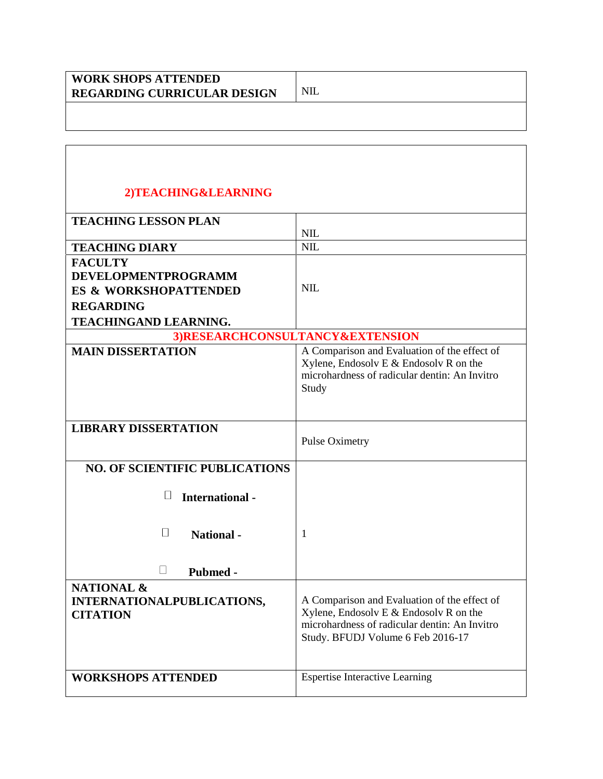| <b>WORK SHOPS ATTENDED</b>         |  |
|------------------------------------|--|
| <b>REGARDING CURRICULAR DESIGN</b> |  |
|                                    |  |

## **2)TEACHING&LEARNING**

| <b>TEACHING LESSON PLAN</b>                                            |                                                                                                                                                                                |  |
|------------------------------------------------------------------------|--------------------------------------------------------------------------------------------------------------------------------------------------------------------------------|--|
|                                                                        | <b>NIL</b>                                                                                                                                                                     |  |
| <b>TEACHING DIARY</b>                                                  | <b>NIL</b>                                                                                                                                                                     |  |
| <b>FACULTY</b>                                                         |                                                                                                                                                                                |  |
| <b>DEVELOPMENTPROGRAMM</b>                                             |                                                                                                                                                                                |  |
| <b>ES &amp; WORKSHOPATTENDED</b>                                       | <b>NIL</b>                                                                                                                                                                     |  |
| <b>REGARDING</b>                                                       |                                                                                                                                                                                |  |
| <b>TEACHINGAND LEARNING.</b>                                           |                                                                                                                                                                                |  |
| 3)RESEARCHCONSULTANCY&EXTENSION                                        |                                                                                                                                                                                |  |
| <b>MAIN DISSERTATION</b>                                               | A Comparison and Evaluation of the effect of<br>Xylene, Endosolv E $&$ Endosolv R on the<br>microhardness of radicular dentin: An Invitro<br>Study                             |  |
| <b>LIBRARY DISSERTATION</b>                                            | <b>Pulse Oximetry</b>                                                                                                                                                          |  |
| <b>NO. OF SCIENTIFIC PUBLICATIONS</b>                                  |                                                                                                                                                                                |  |
| <b>International-</b>                                                  |                                                                                                                                                                                |  |
| $\perp$<br><b>National</b> -                                           | 1                                                                                                                                                                              |  |
| $\Box$<br><b>Pubmed -</b>                                              |                                                                                                                                                                                |  |
| <b>NATIONAL &amp;</b><br>INTERNATIONALPUBLICATIONS,<br><b>CITATION</b> | A Comparison and Evaluation of the effect of<br>Xylene, Endosolv E $&$ Endosolv R on the<br>microhardness of radicular dentin: An Invitro<br>Study. BFUDJ Volume 6 Feb 2016-17 |  |
| <b>WORKSHOPS ATTENDED</b>                                              | <b>Espertise Interactive Learning</b>                                                                                                                                          |  |